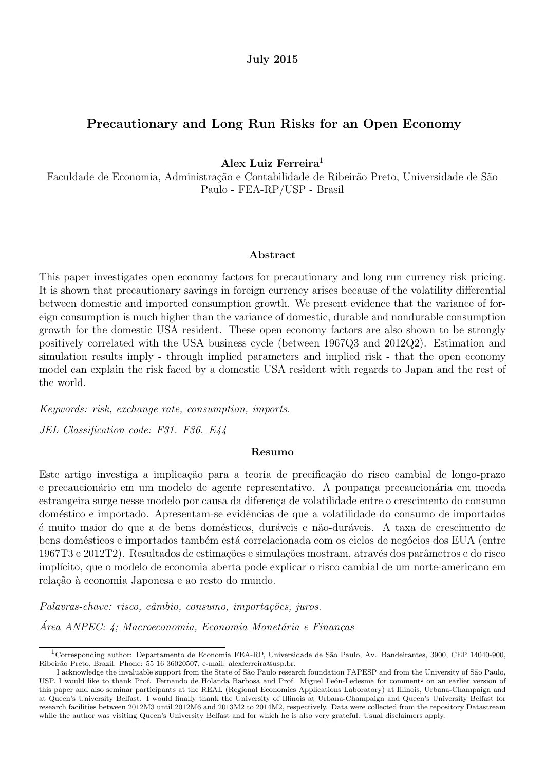### Precautionary and Long Run Risks for an Open Economy

Alex Luiz Ferreira<sup>1</sup>

Faculdade de Economia, Administração e Contabilidade de Ribeirão Preto, Universidade de São Paulo - FEA-RP/USP - Brasil

#### Abstract

This paper investigates open economy factors for precautionary and long run currency risk pricing. It is shown that precautionary savings in foreign currency arises because of the volatility differential between domestic and imported consumption growth. We present evidence that the variance of foreign consumption is much higher than the variance of domestic, durable and nondurable consumption growth for the domestic USA resident. These open economy factors are also shown to be strongly positively correlated with the USA business cycle (between 1967Q3 and 2012Q2). Estimation and simulation results imply - through implied parameters and implied risk - that the open economy model can explain the risk faced by a domestic USA resident with regards to Japan and the rest of the world.

Keywords: risk, exchange rate, consumption, imports.

JEL Classification code: F31. F36. E44

#### Resumo

Este artigo investiga a implicação para a teoria de precificação do risco cambial de longo-prazo e precaucionário em um modelo de agente representativo. A poupança precaucionária em moeda estrangeira surge nesse modelo por causa da diferença de volatilidade entre o crescimento do consumo doméstico e importado. Apresentam-se evidências de que a volatilidade do consumo de importados é muito maior do que a de bens domésticos, duráveis e não-duráveis. A taxa de crescimento de bens domésticos e importados também está correlacionada com os ciclos de negócios dos EUA (entre 1967T3 e 2012T2). Resultados de estimações e simulações mostram, através dos parâmetros e do risco implícito, que o modelo de economia aberta pode explicar o risco cambial de um norte-americano em relação à economia Japonesa e ao resto do mundo.

Palavras-chave: risco, câmbio, consumo, importações, juros.

 $\textit{Area ANPEC: } 4$ ; Macroeconomia, Economia Monetária e Finanças

<sup>&</sup>lt;sup>1</sup>Corresponding author: Departamento de Economia FEA-RP, Universidade de São Paulo, Av. Bandeirantes, 3900, CEP 14040-900, Ribeirão Preto, Brazil. Phone: 55 16 36020507, e-mail: alexferreira@usp.br.

I acknowledge the invaluable support from the State of S˜ao Paulo research foundation FAPESP and from the University of S˜ao Paulo, USP. I would like to thank Prof. Fernando de Holanda Barbosa and Prof. Miguel León-Ledesma for comments on an earlier version of this paper and also seminar participants at the REAL (Regional Economics Applications Laboratory) at Illinois, Urbana-Champaign and at Queen's University Belfast. I would finally thank the University of Illinois at Urbana-Champaign and Queen's University Belfast for research facilities between 2012M3 until 2012M6 and 2013M2 to 2014M2, respectively. Data were collected from the repository Datastream while the author was visiting Queen's University Belfast and for which he is also very grateful. Usual disclaimers apply.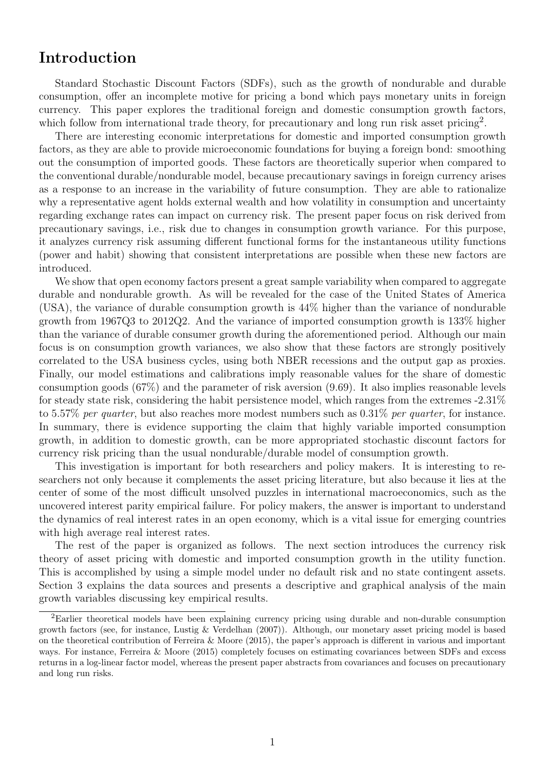## Introduction

Standard Stochastic Discount Factors (SDFs), such as the growth of nondurable and durable consumption, offer an incomplete motive for pricing a bond which pays monetary units in foreign currency. This paper explores the traditional foreign and domestic consumption growth factors, which follow from international trade theory, for precautionary and long run risk asset pricing<sup>2</sup>.

There are interesting economic interpretations for domestic and imported consumption growth factors, as they are able to provide microeconomic foundations for buying a foreign bond: smoothing out the consumption of imported goods. These factors are theoretically superior when compared to the conventional durable/nondurable model, because precautionary savings in foreign currency arises as a response to an increase in the variability of future consumption. They are able to rationalize why a representative agent holds external wealth and how volatility in consumption and uncertainty regarding exchange rates can impact on currency risk. The present paper focus on risk derived from precautionary savings, i.e., risk due to changes in consumption growth variance. For this purpose, it analyzes currency risk assuming different functional forms for the instantaneous utility functions (power and habit) showing that consistent interpretations are possible when these new factors are introduced.

We show that open economy factors present a great sample variability when compared to aggregate durable and nondurable growth. As will be revealed for the case of the United States of America (USA), the variance of durable consumption growth is 44% higher than the variance of nondurable growth from 1967Q3 to 2012Q2. And the variance of imported consumption growth is 133% higher than the variance of durable consumer growth during the aforementioned period. Although our main focus is on consumption growth variances, we also show that these factors are strongly positively correlated to the USA business cycles, using both NBER recessions and the output gap as proxies. Finally, our model estimations and calibrations imply reasonable values for the share of domestic consumption goods (67%) and the parameter of risk aversion (9.69). It also implies reasonable levels for steady state risk, considering the habit persistence model, which ranges from the extremes -2.31% to 5.57% per quarter, but also reaches more modest numbers such as  $0.31\%$  per quarter, for instance. In summary, there is evidence supporting the claim that highly variable imported consumption growth, in addition to domestic growth, can be more appropriated stochastic discount factors for currency risk pricing than the usual nondurable/durable model of consumption growth.

This investigation is important for both researchers and policy makers. It is interesting to researchers not only because it complements the asset pricing literature, but also because it lies at the center of some of the most difficult unsolved puzzles in international macroeconomics, such as the uncovered interest parity empirical failure. For policy makers, the answer is important to understand the dynamics of real interest rates in an open economy, which is a vital issue for emerging countries with high average real interest rates.

The rest of the paper is organized as follows. The next section introduces the currency risk theory of asset pricing with domestic and imported consumption growth in the utility function. This is accomplished by using a simple model under no default risk and no state contingent assets. Section 3 explains the data sources and presents a descriptive and graphical analysis of the main growth variables discussing key empirical results.

<sup>2</sup>Earlier theoretical models have been explaining currency pricing using durable and non-durable consumption growth factors (see, for instance, Lustig & Verdelhan (2007)). Although, our monetary asset pricing model is based on the theoretical contribution of Ferreira & Moore (2015), the paper's approach is different in various and important ways. For instance, Ferreira & Moore (2015) completely focuses on estimating covariances between SDFs and excess returns in a log-linear factor model, whereas the present paper abstracts from covariances and focuses on precautionary and long run risks.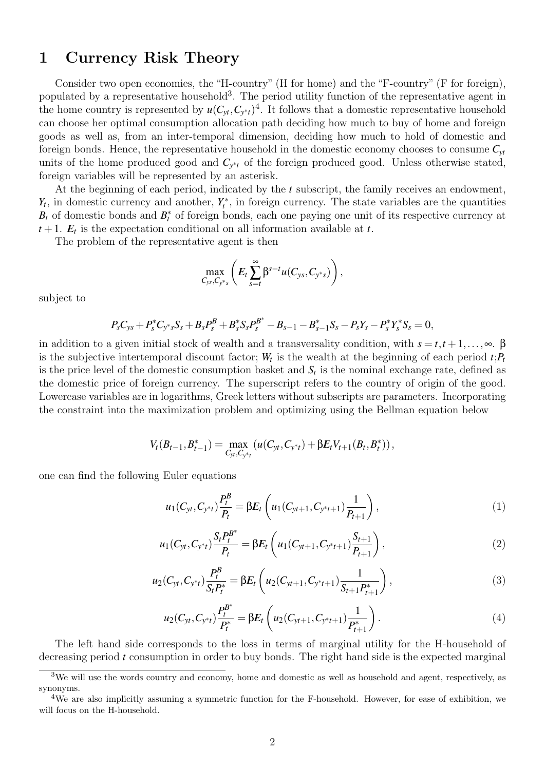## 1 Currency Risk Theory

Consider two open economies, the "H-country" (H for home) and the "F-country" (F for foreign), populated by a representative household<sup>3</sup>. The period utility function of the representative agent in the home country is represented by  $u(C_{yt}, C_{y*t})^4$ . It follows that a domestic representative household can choose her optimal consumption allocation path deciding how much to buy of home and foreign goods as well as, from an inter-temporal dimension, deciding how much to hold of domestic and foreign bonds. Hence, the representative household in the domestic economy chooses to consume  $C_{vt}$ units of the home produced good and *C<sup>y</sup>* <sup>∗</sup>*<sup>t</sup>* of the foreign produced good. Unless otherwise stated, foreign variables will be represented by an asterisk.

At the beginning of each period, indicated by the *t* subscript, the family receives an endowment,  $Y_t$ , in domestic currency and another,  $Y_t^*$ , in foreign currency. The state variables are the quantities  $B_t$  of domestic bonds and  $B_t^*$  of foreign bonds, each one paying one unit of its respective currency at  $t + 1$ .  $E_t$  is the expectation conditional on all information available at  $t$ .

The problem of the representative agent is then

$$
\max_{C_{ys}, C_{y^*s}} \left( E_t \sum_{s=t}^{\infty} \beta^{s-t} u(C_{ys}, C_{y^*s}) \right),
$$

subject to

$$
P_sC_{ys}+P_s^*C_{y^*s}S_s+B_sP_s^B+B_s^*S_sP_s^{B^*}-B_{s-1}-B_{s-1}^*S_s-P_sY_s-P_s^*Y_s^*S_s=0,
$$

in addition to a given initial stock of wealth and a transversality condition, with  $s = t, t + 1, \ldots, \infty$ .  $\beta$ is the subjective intertemporal discount factor;  $W_t$  is the wealth at the beginning of each period  $t$ ;  $P_t$ is the price level of the domestic consumption basket and  $S_t$  is the nominal exchange rate, defined as the domestic price of foreign currency. The superscript refers to the country of origin of the good. Lowercase variables are in logarithms, Greek letters without subscripts are parameters. Incorporating the constraint into the maximization problem and optimizing using the Bellman equation below

$$
V_t(B_{t-1}, B_{t-1}^*) = \max_{C_{yt}, C_{y^*t}} \left( u(C_{yt}, C_{y^*t}) + \beta E_t V_{t+1}(B_t, B_t^*) \right),
$$

one can find the following Euler equations

$$
u_1(C_{yt}, C_{y^*t})\frac{P_t^B}{P_t} = \beta E_t \left( u_1(C_{yt+1}, C_{y^*t+1})\frac{1}{P_{t+1}} \right), \tag{1}
$$

$$
u_1(C_{yt}, C_{y*t})\frac{S_t P_t^{B^*}}{P_t} = \beta E_t \left( u_1(C_{yt+1}, C_{y*t+1})\frac{S_{t+1}}{P_{t+1}} \right), \qquad (2)
$$

$$
u_2(C_{yt}, C_{y^*t})\frac{P_t^B}{S_t P_t^*} = \beta E_t \left( u_2(C_{yt+1}, C_{y^*t+1})\frac{1}{S_{t+1}P_{t+1}^*} \right),\tag{3}
$$

$$
u_2(C_{yt}, C_{y*t})\frac{P_t^{B^*}}{P_t^*} = \beta E_t \left( u_2(C_{yt+1}, C_{y*t+1})\frac{1}{P_{t+1}^*} \right). \tag{4}
$$

The left hand side corresponds to the loss in terms of marginal utility for the H-household of decreasing period *t* consumption in order to buy bonds. The right hand side is the expected marginal

<sup>3</sup>We will use the words country and economy, home and domestic as well as household and agent, respectively, as synonyms.

<sup>&</sup>lt;sup>4</sup>We are also implicitly assuming a symmetric function for the F-household. However, for ease of exhibition, we will focus on the H-household.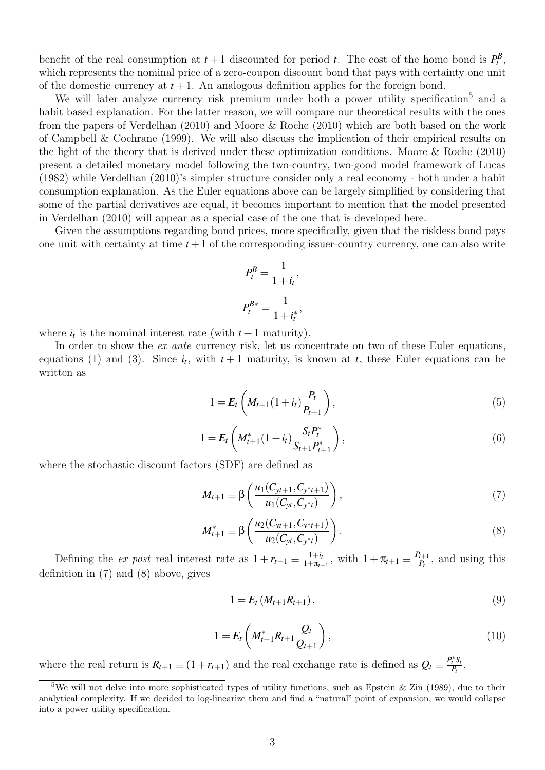benefit of the real consumption at  $t + 1$  discounted for period *t*. The cost of the home bond is  $P_t^B$ , which represents the nominal price of a zero-coupon discount bond that pays with certainty one unit of the domestic currency at  $t + 1$ . An analogous definition applies for the foreign bond.

We will later analyze currency risk premium under both a power utility specification<sup>5</sup> and a habit based explanation. For the latter reason, we will compare our theoretical results with the ones from the papers of Verdelhan (2010) and Moore & Roche (2010) which are both based on the work of Campbell & Cochrane (1999). We will also discuss the implication of their empirical results on the light of the theory that is derived under these optimization conditions. Moore & Roche (2010) present a detailed monetary model following the two-country, two-good model framework of Lucas (1982) while Verdelhan (2010)'s simpler structure consider only a real economy - both under a habit consumption explanation. As the Euler equations above can be largely simplified by considering that some of the partial derivatives are equal, it becomes important to mention that the model presented in Verdelhan (2010) will appear as a special case of the one that is developed here.

Given the assumptions regarding bond prices, more specifically, given that the riskless bond pays one unit with certainty at time  $t + 1$  of the corresponding issuer-country currency, one can also write

$$
P_t^B = \frac{1}{1 + i_t},
$$
  

$$
P_t^{B*} = \frac{1}{1 + i_t^*},
$$

where  $i_t$  is the nominal interest rate (with  $t+1$  maturity).

In order to show the *ex ante* currency risk, let us concentrate on two of these Euler equations, equations (1) and (3). Since  $i_t$ , with  $t+1$  maturity, is known at  $t$ , these Euler equations can be written as

$$
1 = E_t \left( M_{t+1} (1 + i_t) \frac{P_t}{P_{t+1}} \right), \tag{5}
$$

$$
1 = E_t \left( M_{t+1}^*(1+i_t) \frac{S_t P_t^*}{S_{t+1} P_{t+1}^*} \right), \tag{6}
$$

where the stochastic discount factors (SDF) are defined as

$$
M_{t+1} \equiv \beta \left( \frac{u_1(C_{yt+1}, C_{y^*t+1})}{u_1(C_{yt}, C_{y^*t})} \right), \tag{7}
$$

$$
M_{t+1}^* \equiv \beta \left( \frac{u_2(C_{yt+1}, C_{y^*t+1})}{u_2(C_{yt}, C_{y^*t})} \right). \tag{8}
$$

Defining the ex post real interest rate as  $1 + r_{t+1} \equiv \frac{1+i_l}{1+\pi_t}$  $\frac{1+i_t}{1+\pi_{t+1}}$ , with  $1+\pi_{t+1} \equiv \frac{P_{t+1}}{P_t}$  $\frac{t+1}{P_t}$ , and using this definition in (7) and (8) above, gives

$$
1 = E_t \left( M_{t+1} R_{t+1} \right), \tag{9}
$$

$$
1 = E_t \left( M_{t+1}^* R_{t+1} \frac{Q_t}{Q_{t+1}} \right), \tag{10}
$$

where the real return is  $R_{t+1} \equiv (1 + r_{t+1})$  and the real exchange rate is defined as  $Q_t \equiv \frac{P_t^* S_t}{P_t}$  $\frac{f}{P_t}$ .

<sup>&</sup>lt;sup>5</sup>We will not delve into more sophisticated types of utility functions, such as Epstein & Zin (1989), due to their analytical complexity. If we decided to log-linearize them and find a "natural" point of expansion, we would collapse into a power utility specification.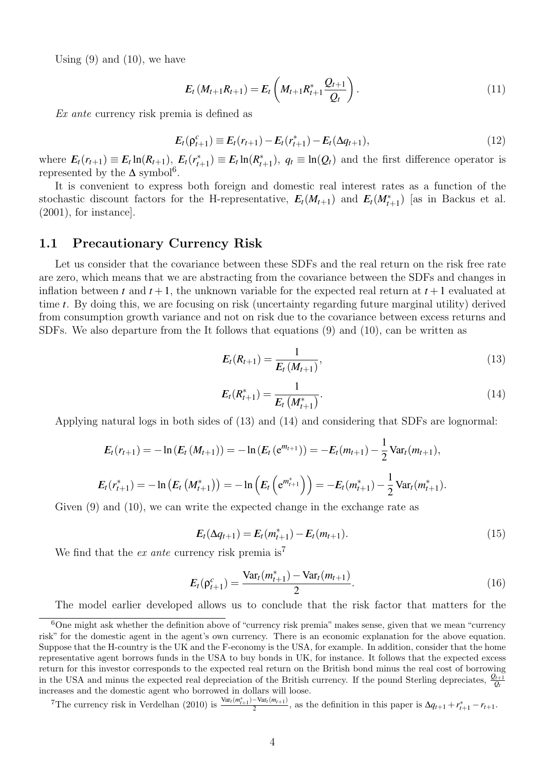Using  $(9)$  and  $(10)$ , we have

$$
E_t(M_{t+1}R_{t+1}) = E_t(M_{t+1}R_{t+1}^* \frac{Q_{t+1}}{Q_t}).
$$
\n(11)

Ex ante currency risk premia is defined as

$$
E_t(\rho_{t+1}^c) \equiv E_t(r_{t+1}) - E_t(r_{t+1}^*) - E_t(\Delta q_{t+1}),
$$
\n(12)

where  $E_t(r_{t+1}) \equiv E_t \ln(R_{t+1}), E_t(r_t^*)$  $(t_{t+1}^*) \equiv E_t \ln(R_t^*)$  $(t_{t+1})$ ,  $q_t \equiv \ln(Q_t)$  and the first difference operator is represented by the  $\Delta$  symbol<sup>6</sup>.

It is convenient to express both foreign and domestic real interest rates as a function of the stochastic discount factors for the H-representative,  $E_t(M_{t+1})$  and  $E_t(M_{t+1}^*)$  [as in Backus et al. (2001), for instance].

### 1.1 Precautionary Currency Risk

Let us consider that the covariance between these SDFs and the real return on the risk free rate are zero, which means that we are abstracting from the covariance between the SDFs and changes in inflation between *t* and  $t + 1$ , the unknown variable for the expected real return at  $t + 1$  evaluated at time *t*. By doing this, we are focusing on risk (uncertainty regarding future marginal utility) derived from consumption growth variance and not on risk due to the covariance between excess returns and SDFs. We also departure from the It follows that equations (9) and (10), can be written as

$$
E_t(R_{t+1}) = \frac{1}{E_t(M_{t+1})},\tag{13}
$$

$$
E_t(R_{t+1}^*) = \frac{1}{E_t\left(M_{t+1}^*\right)}.\tag{14}
$$

Applying natural logs in both sides of (13) and (14) and considering that SDFs are lognormal:

$$
E_t(r_{t+1}) = -\ln(E_t(M_{t+1})) = -\ln(E_t(e^{m_{t+1}})) = -E_t(m_{t+1}) - \frac{1}{2}\text{Var}_t(m_{t+1}),
$$
  

$$
E_t(r_{t+1}^*) = -\ln(E_t(M_{t+1}^*)) = -\ln(E_t(e^{m_{t+1}^*})) = -E_t(m_{t+1}^*) - \frac{1}{2}\text{Var}_t(m_{t+1}^*).
$$

Given  $(9)$  and  $(10)$ , we can write the expected change in the exchange rate as

$$
E_t(\Delta q_{t+1}) = E_t(m_{t+1}^*) - E_t(m_{t+1}).
$$
\n(15)

We find that the *ex ante* currency risk premia is<sup>7</sup>

$$
E_t(\rho_{t+1}^c) = \frac{\text{Var}_t(m_{t+1}^*) - \text{Var}_t(m_{t+1})}{2}.
$$
\n(16)

The model earlier developed allows us to conclude that the risk factor that matters for the

<sup>7</sup>The currency risk in Verdelhan (2010) is  $\frac{\text{Var}_{t}(m_{t+1}^{*}) - \text{Var}_{t}(m_{t+1})}{2}$  $\frac{1}{2} - \frac{\text{var}_{t}(m_{t+1})}{2}$ , as the definition in this paper is  $\Delta q_{t+1} + r_{t+1}^* - r_{t+1}$ .

 $6$ One might ask whether the definition above of "currency risk premia" makes sense, given that we mean "currency" risk" for the domestic agent in the agent's own currency. There is an economic explanation for the above equation. Suppose that the H-country is the UK and the F-economy is the USA, for example. In addition, consider that the home representative agent borrows funds in the USA to buy bonds in UK, for instance. It follows that the expected excess return for this investor corresponds to the expected real return on the British bond minus the real cost of borrowing in the USA and minus the expected real depreciation of the British currency. If the pound Sterling depreciates,  $\frac{Q_t}{Q_t}$ increases and the domestic agent who borrowed in dollars will loose.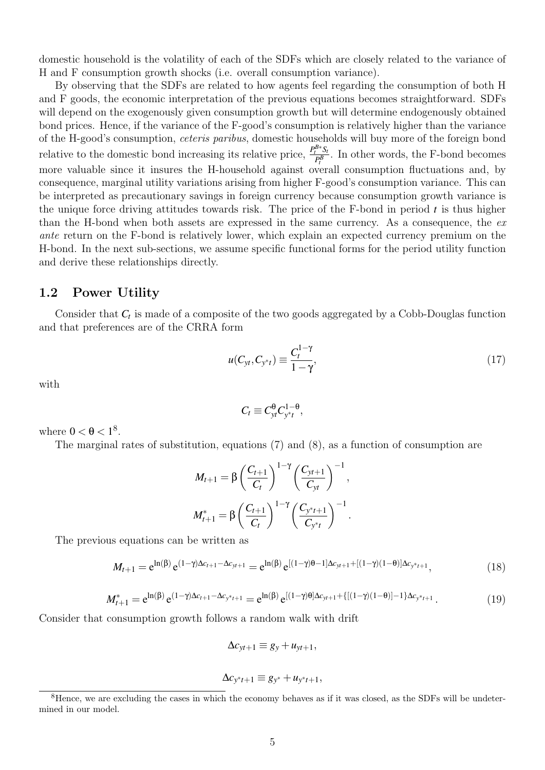domestic household is the volatility of each of the SDFs which are closely related to the variance of H and F consumption growth shocks (i.e. overall consumption variance).

By observing that the SDFs are related to how agents feel regarding the consumption of both H and F goods, the economic interpretation of the previous equations becomes straightforward. SDFs will depend on the exogenously given consumption growth but will determine endogenously obtained bond prices. Hence, if the variance of the F-good's consumption is relatively higher than the variance of the H-good's consumption, ceteris paribus, domestic households will buy more of the foreign bond relative to the domestic bond increasing its relative price,  $\frac{P_t^{B*}S_t}{B}$  $P_t^{\frac{b}{B}}$ . In other words, the F-bond becomes more valuable since it insures the H-household against overall consumption fluctuations and, by consequence, marginal utility variations arising from higher F-good's consumption variance. This can be interpreted as precautionary savings in foreign currency because consumption growth variance is the unique force driving attitudes towards risk. The price of the F-bond in period *t* is thus higher than the H-bond when both assets are expressed in the same currency. As a consequence, the ex ante return on the F-bond is relatively lower, which explain an expected currency premium on the H-bond. In the next sub-sections, we assume specific functional forms for the period utility function and derive these relationships directly.

#### 1.2 Power Utility

Consider that *C<sup>t</sup>* is made of a composite of the two goods aggregated by a Cobb-Douglas function and that preferences are of the CRRA form

$$
u(C_{yt}, C_{y^*t}) \equiv \frac{C_t^{1-\gamma}}{1-\gamma},
$$
\n(17)

with

$$
C_t \equiv C_{yt}^{\theta} C_{y^*t}^{1-\theta},
$$

where  $0 < \theta < 1^8$ .

The marginal rates of substitution, equations (7) and (8), as a function of consumption are

$$
M_{t+1} = \beta \left( \frac{C_{t+1}}{C_t} \right)^{1-\gamma} \left( \frac{C_{yt+1}}{C_{yt}} \right)^{-1},
$$
  

$$
M_{t+1}^* = \beta \left( \frac{C_{t+1}}{C_t} \right)^{1-\gamma} \left( \frac{C_{y^*t+1}}{C_{y^*t}} \right)^{-1}.
$$

The previous equations can be written as

$$
M_{t+1} = e^{\ln(\beta)} e^{(1-\gamma)\Delta c_{t+1} - \Delta c_{yt+1}} = e^{\ln(\beta)} e^{[(1-\gamma)\theta - 1]\Delta c_{yt+1} + [(1-\gamma)(1-\theta)]\Delta c_{yt+1}},
$$
\n(18)

$$
M_{t+1}^* = e^{\ln(\beta)} e^{(1-\gamma)\Delta c_{t+1} - \Delta c_{y^*t+1}} = e^{\ln(\beta)} e^{[(1-\gamma)\theta]\Delta c_{yt+1} + \{[(1-\gamma)(1-\theta)] - 1\}\Delta c_{y^*t+1}}.
$$
(19)

Consider that consumption growth follows a random walk with drift

$$
\Delta c_{yt+1} \equiv g_y + u_{yt+1},
$$

$$
\Delta c_{y^*t+1} \equiv g_{y^*} + u_{y^*t+1},
$$

<sup>8</sup>Hence, we are excluding the cases in which the economy behaves as if it was closed, as the SDFs will be undetermined in our model.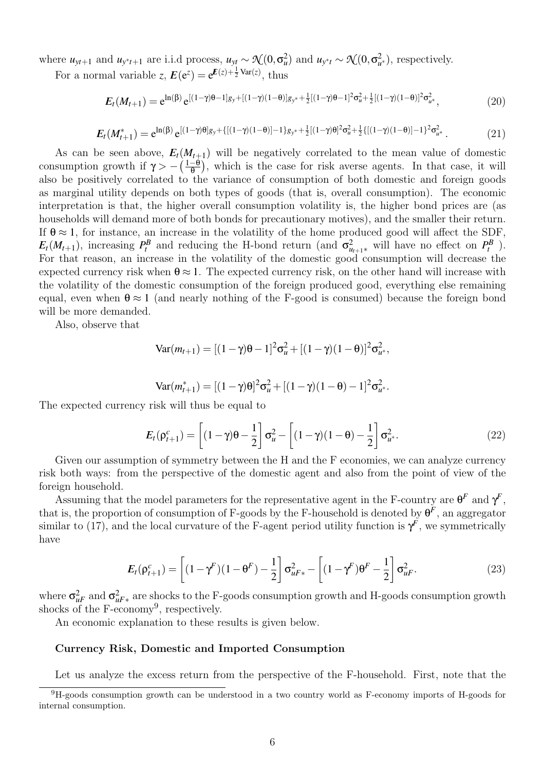where  $u_{yt+1}$  and  $u_{y*t+1}$  are i.i.d process,  $u_{yt} \sim \mathcal{N}(0, \sigma_u^2)$  and  $u_{y*t} \sim \mathcal{N}(0, \sigma_{u^*}^2)$ , respectively.

For a normal variable *z*,  $E(e^z) = e^{E(z) + \frac{1}{2}Var(z)}$ , thus

$$
E_t(M_{t+1}) = e^{\ln(\beta)} e^{[(1-\gamma)\theta - 1]g_y + [(1-\gamma)(1-\theta)]g_{y^*} + \frac{1}{2}[(1-\gamma)\theta - 1]^2 \sigma_u^2 + \frac{1}{2}[(1-\gamma)(1-\theta)]^2 \sigma_u^2},
$$
\n(20)

$$
E_t(M_{t+1}^*) = e^{\ln(\beta)} e^{[(1-\gamma)\theta]g_y + \{[(1-\gamma)(1-\theta)] - 1\}g_{y^*} + \frac{1}{2}[(1-\gamma)\theta]^2 \sigma_u^2 + \frac{1}{2}\{[(1-\gamma)(1-\theta)] - 1\}^2 \sigma_u^2}.
$$
 (21)

As can be seen above,  $E_t(M_{t+1})$  will be negatively correlated to the mean value of domestic consumption growth if  $\gamma > -\left(\frac{1-\theta}{\theta}\right)$  $\frac{-\theta}{\theta}$ , which is the case for risk averse agents. In that case, it will also be positively correlated to the variance of consumption of both domestic and foreign goods as marginal utility depends on both types of goods (that is, overall consumption). The economic interpretation is that, the higher overall consumption volatility is, the higher bond prices are (as households will demand more of both bonds for precautionary motives), and the smaller their return. If  $\theta \approx 1$ , for instance, an increase in the volatility of the home produced good will affect the SDF,  $E_t(M_{t+1})$ , increasing  $P_t^B$  and reducing the H-bond return (and  $\sigma_{u_{t+1}*}^2$  will have no effect on  $P_t^B$ ). For that reason, an increase in the volatility of the domestic good consumption will decrease the expected currency risk when  $\theta \approx 1$ . The expected currency risk, on the other hand will increase with the volatility of the domestic consumption of the foreign produced good, everything else remaining equal, even when  $\theta \approx 1$  (and nearly nothing of the F-good is consumed) because the foreign bond will be more demanded.

Also, observe that

$$
Var(m_{t+1}) = [(1 - \gamma)\theta - 1]^2 \sigma_u^2 + [(1 - \gamma)(1 - \theta)]^2 \sigma_u^2,
$$

Var
$$
(m_{t+1}^*)
$$
 =  $[(1 - \gamma)\theta]^2 \sigma_u^2 + [(1 - \gamma)(1 - \theta) - 1]^2 \sigma_u^2$ .

The expected currency risk will thus be equal to

$$
E_t(\rho_{t+1}^c) = \left[ (1-\gamma)\theta - \frac{1}{2} \right] \sigma_u^2 - \left[ (1-\gamma)(1-\theta) - \frac{1}{2} \right] \sigma_{u^*}^2.
$$
 (22)

Given our assumption of symmetry between the H and the F economies, we can analyze currency risk both ways: from the perspective of the domestic agent and also from the point of view of the foreign household.

Assuming that the model parameters for the representative agent in the F-country are  $\theta^F$  and  $\gamma^F$ , that is, the proportion of consumption of F-goods by the F-household is denoted by  $\theta^F$ , an aggregator similar to (17), and the local curvature of the F-agent period utility function is  $\gamma^F$ , we symmetrically have

$$
E_t(\rho_{t+1}^c) = \left[ (1 - \gamma^F)(1 - \theta^F) - \frac{1}{2} \right] \sigma_{uF*}^2 - \left[ (1 - \gamma^F)\theta^F - \frac{1}{2} \right] \sigma_{uF}^2.
$$
 (23)

where  $\sigma_{uF}^2$  and  $\sigma_{uF*}^2$  are shocks to the F-goods consumption growth and H-goods consumption growth shocks of the F-economy<sup>9</sup>, respectively.

An economic explanation to these results is given below.

#### Currency Risk, Domestic and Imported Consumption

Let us analyze the excess return from the perspective of the F-household. First, note that the

<sup>9</sup>H-goods consumption growth can be understood in a two country world as F-economy imports of H-goods for internal consumption.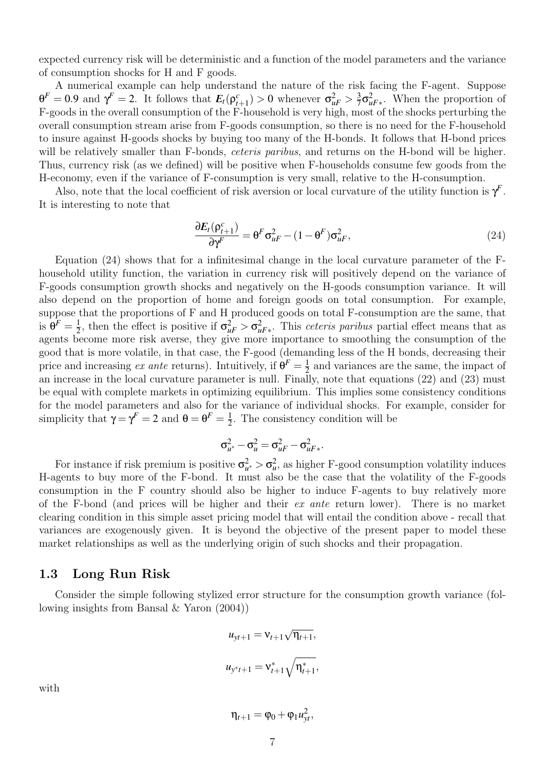expected currency risk will be deterministic and a function of the model parameters and the variance of consumption shocks for H and F goods.

A numerical example can help understand the nature of the risk facing the F-agent. Suppose  $\theta^F = 0.9$  and  $\gamma^F = 2$ . It follows that  $E_t(\rho_{t+1}^c) > 0$  whenever  $\sigma_{uF}^2 > \frac{3}{7}$  $\frac{3}{7}\sigma_{uF*}^2$ . When the proportion of F-goods in the overall consumption of the F-household is very high, most of the shocks perturbing the overall consumption stream arise from F-goods consumption, so there is no need for the F-household to insure against H-goods shocks by buying too many of the H-bonds. It follows that H-bond prices will be relatively smaller than F-bonds, *ceteris paribus*, and returns on the H-bond will be higher. Thus, currency risk (as we defined) will be positive when F-households consume few goods from the H-economy, even if the variance of F-consumption is very small, relative to the H-consumption.

Also, note that the local coefficient of risk aversion or local curvature of the utility function is  $\gamma^F$ . It is interesting to note that

$$
\frac{\partial E_t(\rho_{t+1}^c)}{\partial \gamma^F} = \theta^F \sigma_{uF}^2 - (1 - \theta^F) \sigma_{uF}^2,
$$
\n(24)

Equation (24) shows that for a infinitesimal change in the local curvature parameter of the Fhousehold utility function, the variation in currency risk will positively depend on the variance of F-goods consumption growth shocks and negatively on the H-goods consumption variance. It will also depend on the proportion of home and foreign goods on total consumption. For example, suppose that the proportions of F and H produced goods on total F-consumption are the same, that is  $\theta^F = \frac{1}{2}$  $\frac{1}{2}$ , then the effect is positive if  $\sigma_{uF}^2 > \sigma_{uF*}^2$ . This *ceteris paribus* partial effect means that as agents become more risk averse, they give more importance to smoothing the consumption of the good that is more volatile, in that case, the F-good (demanding less of the H bonds, decreasing their price and increasing ex ante returns). Intuitively, if  $\theta^F = \frac{1}{2}$  $\frac{1}{2}$  and variances are the same, the impact of an increase in the local curvature parameter is null. Finally, note that equations (22) and (23) must be equal with complete markets in optimizing equilibrium. This implies some consistency conditions for the model parameters and also for the variance of individual shocks. For example, consider for simplicity that  $\gamma = \gamma^F = 2$  and  $\theta = \theta^F = \frac{1}{2}$  $\frac{1}{2}$ . The consistency condition will be

$$
\sigma_{u^*}^2 - \sigma_u^2 = \sigma_{uF}^2 - \sigma_{uF*}^2.
$$

For instance if risk premium is positive  $\sigma_{u^*}^2 > \sigma_u^2$ , as higher F-good consumption volatility induces H-agents to buy more of the F-bond. It must also be the case that the volatility of the F-goods consumption in the F country should also be higher to induce F-agents to buy relatively more of the F-bond (and prices will be higher and their ex ante return lower). There is no market clearing condition in this simple asset pricing model that will entail the condition above - recall that variances are exogenously given. It is beyond the objective of the present paper to model these market relationships as well as the underlying origin of such shocks and their propagation.

### 1.3 Long Run Risk

Consider the simple following stylized error structure for the consumption growth variance (following insights from Bansal & Yaron (2004))

$$
u_{yt+1} = v_{t+1}\sqrt{\eta_{t+1}},
$$
  

$$
u_{y^{*}t+1} = v_{t+1}^{*}\sqrt{\eta_{t+1}^{*}},
$$

with

$$
\eta_{t+1}=\phi_0+\phi_1\mathcal{u}_{yt}^2,
$$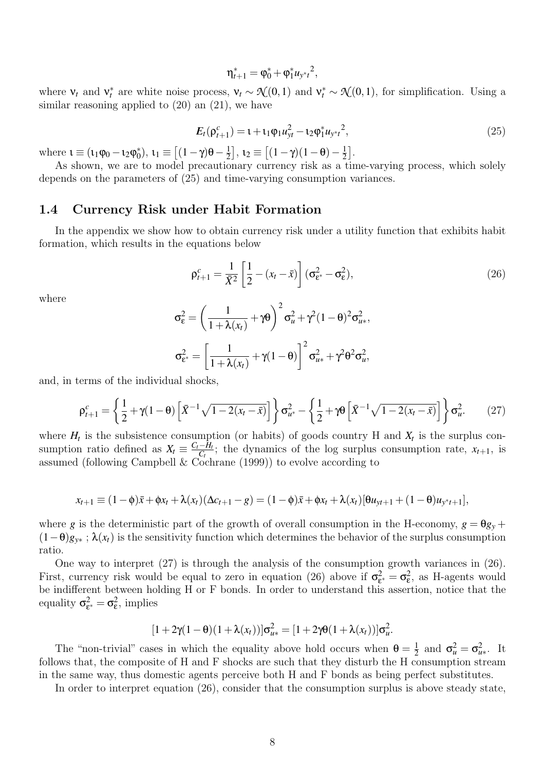$$
\eta_{t+1}^* = \varphi_0^* + \varphi_1^* u_{y^*t}^2,
$$

where  $v_t$  and  $v_t^*$  are white noise process,  $v_t \sim \mathcal{N}(0,1)$  and  $v_t^* \sim \mathcal{N}(0,1)$ , for simplification. Using a similar reasoning applied to  $(20)$  an  $(21)$ , we have

$$
E_t(\rho_{t+1}^c) = 1 + \iota_1 \varphi_1 u_{yt}^2 - \iota_2 \varphi_1^* u_{y^*t}^2,
$$
\n(25)

where  $\iota \equiv (\iota_1 \varphi_0 - \iota_2 \varphi_0^*$ <sup>\*</sup><sub>0</sub><sup> $\theta$ </sup>, **ι**<sub>1</sub>  $\equiv$   $[(1 - \gamma)\theta - \frac{1}{2})$  $\left[\frac{1}{2}\right], \mathbf{1}_2 \equiv \left[ (1-\gamma)(1-\theta) - \frac{1}{2} \right]$  $\frac{1}{2}$ .

As shown, we are to model precautionary currency risk as a time-varying process, which solely depends on the parameters of (25) and time-varying consumption variances.

### 1.4 Currency Risk under Habit Formation

In the appendix we show how to obtain currency risk under a utility function that exhibits habit formation, which results in the equations below

$$
\rho_{t+1}^c = \frac{1}{\bar{X}^2} \left[ \frac{1}{2} - (x_t - \bar{x}) \right] (\sigma_{\varepsilon^*}^2 - \sigma_{\varepsilon}^2),\tag{26}
$$

where

$$
\sigma_{\varepsilon}^2 = \left(\frac{1}{1+\lambda(x_t)} + \gamma \theta\right)^2 \sigma_u^2 + \gamma^2 (1-\theta)^2 \sigma_{u*}^2,
$$

$$
\sigma_{\varepsilon^*}^2 = \left[\frac{1}{1+\lambda(x_t)} + \gamma (1-\theta)\right]^2 \sigma_{u*}^2 + \gamma^2 \theta^2 \sigma_u^2,
$$

and, in terms of the individual shocks,

$$
\rho_{t+1}^c = \left\{ \frac{1}{2} + \gamma (1 - \theta) \left[ \bar{X}^{-1} \sqrt{1 - 2(x_t - \bar{x})} \right] \right\} \sigma_{u^*}^2 - \left\{ \frac{1}{2} + \gamma \theta \left[ \bar{X}^{-1} \sqrt{1 - 2(x_t - \bar{x})} \right] \right\} \sigma_u^2. \tag{27}
$$

where  $H_t$  is the subsistence consumption (or habits) of goods country H and  $X_t$  is the surplus consumption ratio defined as  $X_t \equiv \frac{C_t - H_t}{C_t}$  $\frac{-H_t}{C_t}$ ; the dynamics of the log surplus consumption rate,  $x_{t+1}$ , is assumed (following Campbell & Cochrane (1999)) to evolve according to

$$
x_{t+1} \equiv (1-\phi)\bar{x} + \phi x_t + \lambda(x_t)(\Delta c_{t+1} - g) = (1-\phi)\bar{x} + \phi x_t + \lambda(x_t)[\theta u_{yt+1} + (1-\theta)u_{yt+1}],
$$

where *g* is the deterministic part of the growth of overall consumption in the H-economy,  $g = \theta g_y +$  $(1-\theta)g_{y*}$ ;  $\lambda(x_t)$  is the sensitivity function which determines the behavior of the surplus consumption ratio.

One way to interpret (27) is through the analysis of the consumption growth variances in (26). First, currency risk would be equal to zero in equation (26) above if  $\sigma_{\varepsilon}^2$  $\epsilon^2_{\epsilon} = \sigma_{\epsilon}^2$ , as H-agents would be indifferent between holding H or F bonds. In order to understand this assertion, notice that the equality  $\sigma_{\varepsilon}^2$  $\mathbf{e}^2_{\epsilon} = \mathbf{\sigma}_{\epsilon}^2$ , implies

$$
[1+2\gamma(1-\theta)(1+\lambda(x_t))] \sigma_{u*}^2 = [1+2\gamma\theta(1+\lambda(x_t))] \sigma_u^2.
$$

The "non-trivial" cases in which the equality above hold occurs when  $\theta = \frac{1}{2}$  $\frac{1}{2}$  and  $\sigma_u^2 = \sigma_{u^*}^2$ . It follows that, the composite of H and F shocks are such that they disturb the H consumption stream in the same way, thus domestic agents perceive both H and F bonds as being perfect substitutes.

In order to interpret equation (26), consider that the consumption surplus is above steady state,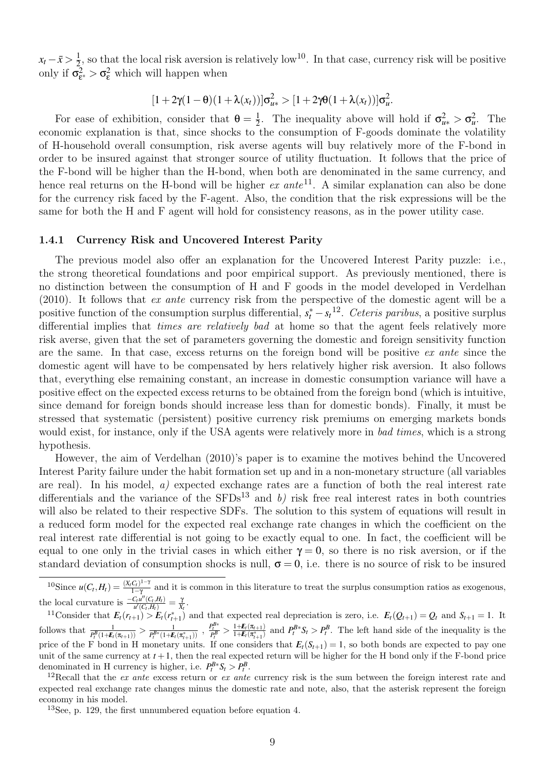$x_t - \bar{x} > \frac{1}{2}$  $\frac{1}{2}$ , so that the local risk aversion is relatively low<sup>10</sup>. In that case, currency risk will be positive only if  $\sigma^2_{\epsilon}$  $\frac{2}{\epsilon^*} > \sigma_{\epsilon}^2$  which will happen when

$$
[1+2\gamma(1-\theta)(1+\lambda(x_t))] \sigma_{u*}^2 > [1+2\gamma\theta(1+\lambda(x_t))] \sigma_u^2.
$$

For ease of exhibition, consider that  $\theta = \frac{1}{2}$ <sup>1</sup>/<sub>2</sub>. The inequality above will hold if  $\sigma_{u*}^2 > \sigma_u^2$ . The economic explanation is that, since shocks to the consumption of F-goods dominate the volatility of H-household overall consumption, risk averse agents will buy relatively more of the F-bond in order to be insured against that stronger source of utility fluctuation. It follows that the price of the F-bond will be higher than the H-bond, when both are denominated in the same currency, and hence real returns on the H-bond will be higher  $ex$  ante<sup>11</sup>. A similar explanation can also be done for the currency risk faced by the F-agent. Also, the condition that the risk expressions will be the same for both the H and F agent will hold for consistency reasons, as in the power utility case.

#### 1.4.1 Currency Risk and Uncovered Interest Parity

The previous model also offer an explanation for the Uncovered Interest Parity puzzle: i.e., the strong theoretical foundations and poor empirical support. As previously mentioned, there is no distinction between the consumption of H and F goods in the model developed in Verdelhan (2010). It follows that ex ante currency risk from the perspective of the domestic agent will be a positive function of the consumption surplus differential,  $s_t^* - s_t^{12}$ . Ceteris paribus, a positive surplus differential implies that *times are relatively bad* at home so that the agent feels relatively more risk averse, given that the set of parameters governing the domestic and foreign sensitivity function are the same. In that case, excess returns on the foreign bond will be positive ex ante since the domestic agent will have to be compensated by hers relatively higher risk aversion. It also follows that, everything else remaining constant, an increase in domestic consumption variance will have a positive effect on the expected excess returns to be obtained from the foreign bond (which is intuitive, since demand for foreign bonds should increase less than for domestic bonds). Finally, it must be stressed that systematic (persistent) positive currency risk premiums on emerging markets bonds would exist, for instance, only if the USA agents were relatively more in bad times, which is a strong hypothesis.

However, the aim of Verdelhan (2010)'s paper is to examine the motives behind the Uncovered Interest Parity failure under the habit formation set up and in a non-monetary structure (all variables are real). In his model, a) expected exchange rates are a function of both the real interest rate differentials and the variance of the  $SFDs^{13}$  and b) risk free real interest rates in both countries will also be related to their respective SDFs. The solution to this system of equations will result in a reduced form model for the expected real exchange rate changes in which the coefficient on the real interest rate differential is not going to be exactly equal to one. In fact, the coefficient will be equal to one only in the trivial cases in which either  $\gamma = 0$ , so there is no risk aversion, or if the standard deviation of consumption shocks is null,  $\sigma = 0$ , i.e. there is no source of risk to be insured

<sup>11</sup>Consider that  $E_t(r_{t+1}) > E_t(r_{t+1}^*)$  and that expected real depreciation is zero, i.e.  $E_t(Q_{t+1}) = Q_t$  and  $S_{t+1} = 1$ . It follows that  $\frac{1}{P_t^B(1+E_t(\pi_{t+1}))} > \frac{1}{P_t^{B*}(1+E_t)}$  $\frac{1}{P_t^{B*}(1+F_t(\pi_{t+1}^*))}$  ,  $\frac{P_t^{B*}}{P_t^B} > \frac{1+F_t(\pi_{t+1})}{1+F_t(\pi_{t+1}^*)}$  $\frac{1+E_t(\pi_{t+1})}{1+E_t(\pi_{t+1}^*)}$  and  $P_t^{B*}S_t > P_t^B$ . The left hand side of the inequality is the price of the F bond in H monetary units. If one considers that  $E_t(S_{t+1}) = 1$ , so both bonds are expected to pay one unit of the same currency at  $t + 1$ , then the real expected return will be higher for the H bond only if the F-bond price denominated in H currency is higher, i.e.  $P_t^{B*} S_t > P_t^B$ .

<sup>13</sup>See, p. 129, the first unnumbered equation before equation 4.

 $^{10}\text{Since } u(C_t, H_t) = \frac{(X_t C_t)^{1-\gamma}}{1-\gamma}$  $\frac{C_t}{1-\gamma}$  and it is common in this literature to treat the surplus consumption ratios as exogenous, the local curvature is  $\frac{-C_t u''(C_t, H_t)}{u'(C_t, H_t)} = \frac{\gamma}{X_t}$ .

<sup>&</sup>lt;sup>12</sup>Recall that the ex ante excess return or ex ante currency risk is the sum between the foreign interest rate and expected real exchange rate changes minus the domestic rate and note, also, that the asterisk represent the foreign economy in his model.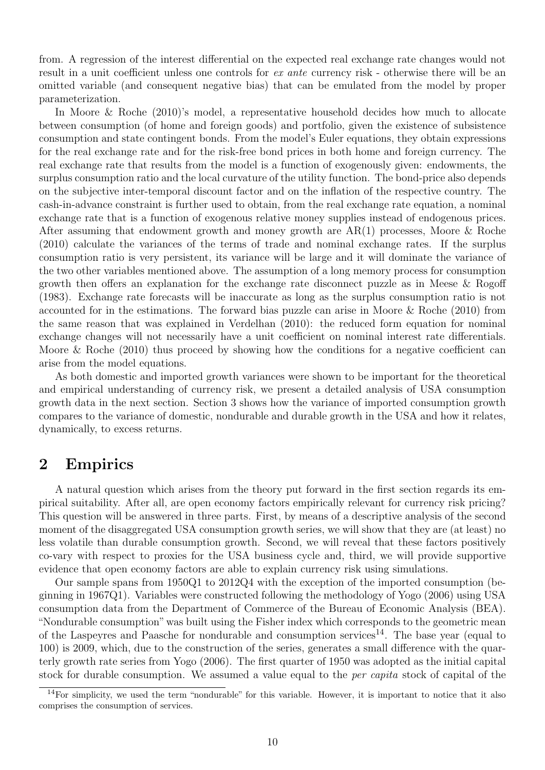from. A regression of the interest differential on the expected real exchange rate changes would not result in a unit coefficient unless one controls for ex ante currency risk - otherwise there will be an omitted variable (and consequent negative bias) that can be emulated from the model by proper parameterization.

In Moore & Roche (2010)'s model, a representative household decides how much to allocate between consumption (of home and foreign goods) and portfolio, given the existence of subsistence consumption and state contingent bonds. From the model's Euler equations, they obtain expressions for the real exchange rate and for the risk-free bond prices in both home and foreign currency. The real exchange rate that results from the model is a function of exogenously given: endowments, the surplus consumption ratio and the local curvature of the utility function. The bond-price also depends on the subjective inter-temporal discount factor and on the inflation of the respective country. The cash-in-advance constraint is further used to obtain, from the real exchange rate equation, a nominal exchange rate that is a function of exogenous relative money supplies instead of endogenous prices. After assuming that endowment growth and money growth are AR(1) processes, Moore & Roche (2010) calculate the variances of the terms of trade and nominal exchange rates. If the surplus consumption ratio is very persistent, its variance will be large and it will dominate the variance of the two other variables mentioned above. The assumption of a long memory process for consumption growth then offers an explanation for the exchange rate disconnect puzzle as in Meese & Rogoff (1983). Exchange rate forecasts will be inaccurate as long as the surplus consumption ratio is not accounted for in the estimations. The forward bias puzzle can arise in Moore & Roche (2010) from the same reason that was explained in Verdelhan (2010): the reduced form equation for nominal exchange changes will not necessarily have a unit coefficient on nominal interest rate differentials. Moore  $\&$  Roche (2010) thus proceed by showing how the conditions for a negative coefficient can arise from the model equations.

As both domestic and imported growth variances were shown to be important for the theoretical and empirical understanding of currency risk, we present a detailed analysis of USA consumption growth data in the next section. Section 3 shows how the variance of imported consumption growth compares to the variance of domestic, nondurable and durable growth in the USA and how it relates, dynamically, to excess returns.

## 2 Empirics

A natural question which arises from the theory put forward in the first section regards its empirical suitability. After all, are open economy factors empirically relevant for currency risk pricing? This question will be answered in three parts. First, by means of a descriptive analysis of the second moment of the disaggregated USA consumption growth series, we will show that they are (at least) no less volatile than durable consumption growth. Second, we will reveal that these factors positively co-vary with respect to proxies for the USA business cycle and, third, we will provide supportive evidence that open economy factors are able to explain currency risk using simulations.

Our sample spans from 1950Q1 to 2012Q4 with the exception of the imported consumption (beginning in 1967Q1). Variables were constructed following the methodology of Yogo (2006) using USA consumption data from the Department of Commerce of the Bureau of Economic Analysis (BEA). "Nondurable consumption" was built using the Fisher index which corresponds to the geometric mean of the Laspeyres and Paasche for nondurable and consumption services<sup>14</sup>. The base year (equal to 100) is 2009, which, due to the construction of the series, generates a small difference with the quarterly growth rate series from Yogo (2006). The first quarter of 1950 was adopted as the initial capital stock for durable consumption. We assumed a value equal to the per capita stock of capital of the

<sup>&</sup>lt;sup>14</sup>For simplicity, we used the term "nondurable" for this variable. However, it is important to notice that it also comprises the consumption of services.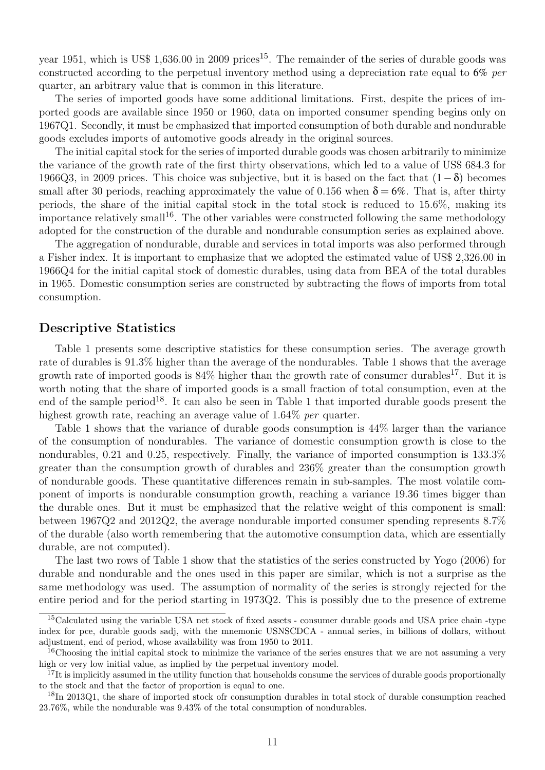year 1951, which is US\$ 1,636.00 in 2009 prices<sup>15</sup>. The remainder of the series of durable goods was constructed according to the perpetual inventory method using a depreciation rate equal to 6% per quarter, an arbitrary value that is common in this literature.

The series of imported goods have some additional limitations. First, despite the prices of imported goods are available since 1950 or 1960, data on imported consumer spending begins only on 1967Q1. Secondly, it must be emphasized that imported consumption of both durable and nondurable goods excludes imports of automotive goods already in the original sources.

The initial capital stock for the series of imported durable goods was chosen arbitrarily to minimize the variance of the growth rate of the first thirty observations, which led to a value of US\$ 684.3 for 1966Q3, in 2009 prices. This choice was subjective, but it is based on the fact that  $(1-\delta)$  becomes small after 30 periods, reaching approximately the value of 0.156 when  $\delta = 6\%$ . That is, after thirty periods, the share of the initial capital stock in the total stock is reduced to 15.6%, making its importance relatively small<sup>16</sup>. The other variables were constructed following the same methodology adopted for the construction of the durable and nondurable consumption series as explained above.

The aggregation of nondurable, durable and services in total imports was also performed through a Fisher index. It is important to emphasize that we adopted the estimated value of US\$ 2,326.00 in 1966Q4 for the initial capital stock of domestic durables, using data from BEA of the total durables in 1965. Domestic consumption series are constructed by subtracting the flows of imports from total consumption.

### Descriptive Statistics

Table 1 presents some descriptive statistics for these consumption series. The average growth rate of durables is 91.3% higher than the average of the nondurables. Table 1 shows that the average growth rate of imported goods is  $84\%$  higher than the growth rate of consumer durables<sup>17</sup>. But it is worth noting that the share of imported goods is a small fraction of total consumption, even at the end of the sample period<sup>18</sup>. It can also be seen in Table 1 that imported durable goods present the highest growth rate, reaching an average value of 1.64\% per quarter.

Table 1 shows that the variance of durable goods consumption is 44% larger than the variance of the consumption of nondurables. The variance of domestic consumption growth is close to the nondurables, 0.21 and 0.25, respectively. Finally, the variance of imported consumption is 133.3% greater than the consumption growth of durables and 236% greater than the consumption growth of nondurable goods. These quantitative differences remain in sub-samples. The most volatile component of imports is nondurable consumption growth, reaching a variance 19.36 times bigger than the durable ones. But it must be emphasized that the relative weight of this component is small: between 1967Q2 and 2012Q2, the average nondurable imported consumer spending represents 8.7% of the durable (also worth remembering that the automotive consumption data, which are essentially durable, are not computed).

The last two rows of Table 1 show that the statistics of the series constructed by Yogo (2006) for durable and nondurable and the ones used in this paper are similar, which is not a surprise as the same methodology was used. The assumption of normality of the series is strongly rejected for the entire period and for the period starting in 1973Q2. This is possibly due to the presence of extreme

<sup>&</sup>lt;sup>15</sup>Calculated using the variable USA net stock of fixed assets - consumer durable goods and USA price chain -type index for pce, durable goods sadj, with the mnemonic USNSCDCA - annual series, in billions of dollars, without adjustment, end of period, whose availability was from 1950 to 2011.

<sup>&</sup>lt;sup>16</sup>Choosing the initial capital stock to minimize the variance of the series ensures that we are not assuming a very high or very low initial value, as implied by the perpetual inventory model.

 $17$ It is implicitly assumed in the utility function that households consume the services of durable goods proportionally to the stock and that the factor of proportion is equal to one.

<sup>&</sup>lt;sup>18</sup>In 2013Q1, the share of imported stock ofr consumption durables in total stock of durable consumption reached 23.76%, while the nondurable was 9.43% of the total consumption of nondurables.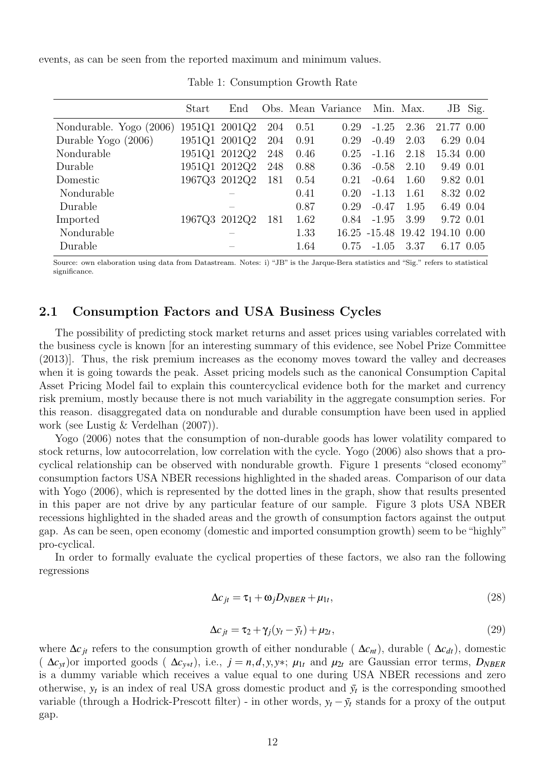events, as can be seen from the reported maximum and minimum values.

| Start | End |                                                                                                    |      |      |                    |      | JB                              | Sig.                                                                                                                  |
|-------|-----|----------------------------------------------------------------------------------------------------|------|------|--------------------|------|---------------------------------|-----------------------------------------------------------------------------------------------------------------------|
|       |     | 204                                                                                                | 0.51 | 0.29 | $-1.25$            | 2.36 |                                 |                                                                                                                       |
|       |     | 204                                                                                                | 0.91 | 0.29 | $-0.49$            | 2.03 |                                 |                                                                                                                       |
|       |     | 248                                                                                                | 0.46 | 0.25 | $-1.16$            | 2.18 |                                 |                                                                                                                       |
|       |     | 248                                                                                                | 0.88 | 0.36 | $-0.58$            | 2.10 |                                 |                                                                                                                       |
|       |     | 181                                                                                                | 0.54 | 0.21 | $-0.64$            | 1.60 |                                 |                                                                                                                       |
|       |     |                                                                                                    | 0.41 | 0.20 | $-1.13$            | 1.61 |                                 | 8.32 0.02                                                                                                             |
|       |     |                                                                                                    | 0.87 | 0.29 | $-0.47$            | 1.95 |                                 |                                                                                                                       |
|       |     | 181                                                                                                | 1.62 | 0.84 | $-1.95$            | 3.99 |                                 |                                                                                                                       |
|       |     |                                                                                                    | 1.33 |      |                    |      |                                 |                                                                                                                       |
|       |     |                                                                                                    | 1.64 | 0.75 | $-1.05$            | 3.37 |                                 |                                                                                                                       |
|       |     | 1951Q1 2001Q2<br>1951Q1 2001Q2<br>1951Q1 2012Q2<br>1951Q1 2012Q2<br>1967Q3 2012Q2<br>1967Q3 2012Q2 |      |      | Obs. Mean Variance |      | Min. Max.<br>16.25 -15.48 19.42 | 21.77 0.00<br>6.29 0.04<br>15.34 0.00<br>9.49 0.01<br>9.82 0.01<br>6.49 0.04<br>9.72 0.01<br>194.10 0.00<br>6.17 0.05 |

Table 1: Consumption Growth Rate

Source: own elaboration using data from Datastream. Notes: i) "JB" is the Jarque-Bera statistics and "Sig." refers to statistical significance.

### 2.1 Consumption Factors and USA Business Cycles

The possibility of predicting stock market returns and asset prices using variables correlated with the business cycle is known [for an interesting summary of this evidence, see Nobel Prize Committee (2013)]. Thus, the risk premium increases as the economy moves toward the valley and decreases when it is going towards the peak. Asset pricing models such as the canonical Consumption Capital Asset Pricing Model fail to explain this countercyclical evidence both for the market and currency risk premium, mostly because there is not much variability in the aggregate consumption series. For this reason. disaggregated data on nondurable and durable consumption have been used in applied work (see Lustig & Verdelhan (2007)).

Yogo (2006) notes that the consumption of non-durable goods has lower volatility compared to stock returns, low autocorrelation, low correlation with the cycle. Yogo (2006) also shows that a procyclical relationship can be observed with nondurable growth. Figure 1 presents "closed economy" consumption factors USA NBER recessions highlighted in the shaded areas. Comparison of our data with Yogo (2006), which is represented by the dotted lines in the graph, show that results presented in this paper are not drive by any particular feature of our sample. Figure 3 plots USA NBER recessions highlighted in the shaded areas and the growth of consumption factors against the output gap. As can be seen, open economy (domestic and imported consumption growth) seem to be"highly" pro-cyclical.

In order to formally evaluate the cyclical properties of these factors, we also ran the following regressions

$$
\Delta c_{jt} = \tau_1 + \omega_j D_{NBER} + \mu_{1t},\tag{28}
$$

$$
\Delta c_{jt} = \tau_2 + \gamma_j (y_t - \bar{y}_t) + \mu_{2t},\tag{29}
$$

where  $\Delta c_{it}$  refers to the consumption growth of either nondurable ( $\Delta c_{nt}$ ), durable ( $\Delta c_{dt}$ ), domestic  $(\Delta c_{yt})$ or imported goods  $(\Delta c_{y*t})$ , i.e.,  $j = n, d, y, y*$ ;  $\mu_{1t}$  and  $\mu_{2t}$  are Gaussian error terms,  $D_{NBER}$ is a dummy variable which receives a value equal to one during USA NBER recessions and zero otherwise,  $y_t$  is an index of real USA gross domestic product and  $\bar{y}_t$  is the corresponding smoothed variable (through a Hodrick-Prescott filter) - in other words,  $y_t - \bar{y}_t$  stands for a proxy of the output gap.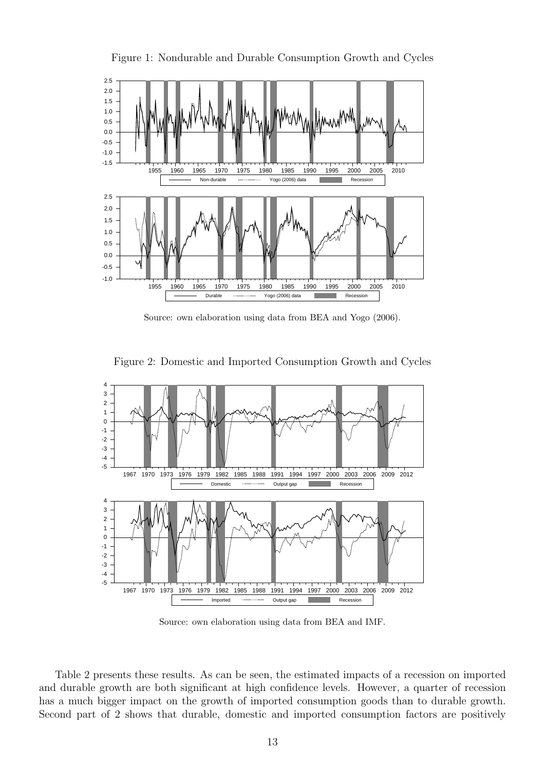

Figure 1: Nondurable and Durable Consumption Growth and Cycles

Source: own elaboration using data from BEA and Yogo (2006).

Figure 2: Domestic and Imported Consumption Growth and Cycles



Source: own elaboration using data from BEA and IMF.

Table 2 presents these results. As can be seen, the estimated impacts of a recession on imported and durable growth are both significant at high confidence levels. However, a quarter of recession has a much bigger impact on the growth of imported consumption goods than to durable growth. Second part of 2 shows that durable, domestic and imported consumption factors are positively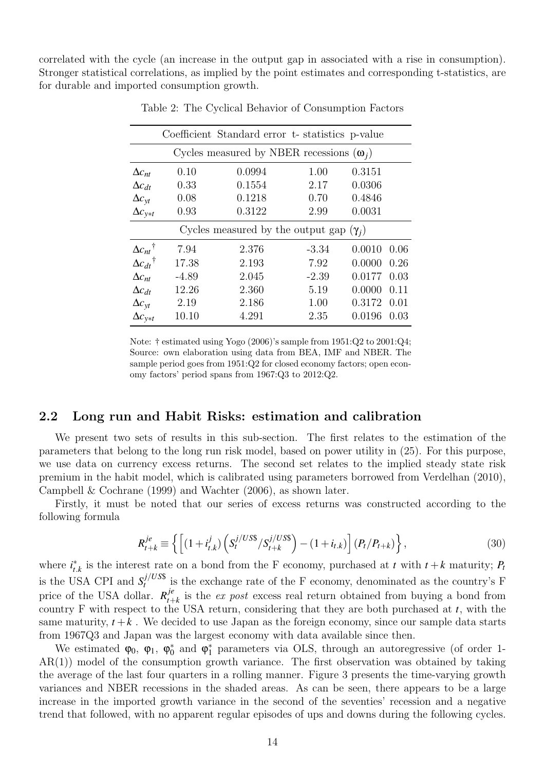correlated with the cycle (an increase in the output gap in associated with a rise in consumption). Stronger statistical correlations, as implied by the point estimates and corresponding t-statistics, are for durable and imported consumption growth.

|                                                 |         | Coefficient Standard error t-statistics p-value |         |        |      |  |  |
|-------------------------------------------------|---------|-------------------------------------------------|---------|--------|------|--|--|
| Cycles measured by NBER recessions $(\omega_i)$ |         |                                                 |         |        |      |  |  |
| $\Delta c_{nt}$                                 | 0.10    | 0.0994                                          | 1.00    | 0.3151 |      |  |  |
| $\Delta c_{dt}$                                 | 0.33    | 0.1554                                          | 2.17    | 0.0306 |      |  |  |
| $\Delta c_{\rm vt}$                             | 0.08    | 0.1218                                          | 0.70    | 0.4846 |      |  |  |
| $\Delta c_{y*t}$                                | 0.93    | 0.3122                                          | 2.99    | 0.0031 |      |  |  |
| Cycles measured by the output gap $(\gamma_i)$  |         |                                                 |         |        |      |  |  |
| $\Delta c_{nt}$ <sup>†</sup>                    | 7.94    | 2.376                                           | $-3.34$ | 0.0010 | 0.06 |  |  |
| $\Delta c_{dt}^{\dagger}$                       | 17.38   | 2.193                                           | 7.92    | 0.0000 | 0.26 |  |  |
| $\Delta c_{nt}$                                 | $-4.89$ | 2.045                                           | $-2.39$ | 0.0177 | 0.03 |  |  |
| $\Delta c_{dt}$                                 | 12.26   | 2.360                                           | 5.19    | 0.0000 | 0.11 |  |  |
| $\Delta c_{\rm vt}$                             | 2.19    | 2.186                                           | 1.00    | 0.3172 | 0.01 |  |  |
| $\Delta c_{v*t}$                                | 10.10   | 4.291                                           | 2.35    | 0.0196 | 0.03 |  |  |

Table 2: The Cyclical Behavior of Consumption Factors

Note:  $\dagger$  estimated using Yogo (2006)'s sample from 1951:Q2 to 2001:Q4; Source: own elaboration using data from BEA, IMF and NBER. The sample period goes from 1951:Q2 for closed economy factors; open economy factors' period spans from 1967:Q3 to 2012:Q2.

### 2.2 Long run and Habit Risks: estimation and calibration

We present two sets of results in this sub-section. The first relates to the estimation of the parameters that belong to the long run risk model, based on power utility in (25). For this purpose, we use data on currency excess returns. The second set relates to the implied steady state risk premium in the habit model, which is calibrated using parameters borrowed from Verdelhan (2010), Campbell & Cochrane (1999) and Wachter (2006), as shown later.

Firstly, it must be noted that our series of excess returns was constructed according to the following formula

$$
R_{t+k}^{je} \equiv \left\{ \left[ (1+i_{t,k}^{j}) \left( S_{t}^{j/USS} / S_{t+k}^{j/USS} \right) - (1+i_{t,k}) \right] (P_{t}/P_{t+k}) \right\},\tag{30}
$$

where  $i_t^*$  $t$ <sup>*k*</sup></sup>, is the interest rate on a bond from the F economy, purchased at *t* with  $t + k$  maturity; *P*<sup>*t*</sup> is the USA CPI and  $S_t^{j/USS}$  $t_t^{J/O3\phi}$  is the exchange rate of the F economy, denominated as the country's F price of the USA dollar.  $R_{t+1}^{j\dot{e}}$  $t_{t+k}$  is the *ex post* excess real return obtained from buying a bond from country F with respect to the USA return, considering that they are both purchased at *t*, with the same maturity,  $t + k$ . We decided to use Japan as the foreign economy, since our sample data starts from 1967Q3 and Japan was the largest economy with data available since then.

We estimated  $\varphi_0$ ,  $\varphi_1$ ,  $\varphi_0^*$  $_{0}^{\ast}$  and  $\varphi_{1}^{\ast}$ 1 parameters via OLS, through an autoregressive (of order 1-  $AR(1)$ ) model of the consumption growth variance. The first observation was obtained by taking the average of the last four quarters in a rolling manner. Figure 3 presents the time-varying growth variances and NBER recessions in the shaded areas. As can be seen, there appears to be a large increase in the imported growth variance in the second of the seventies' recession and a negative trend that followed, with no apparent regular episodes of ups and downs during the following cycles.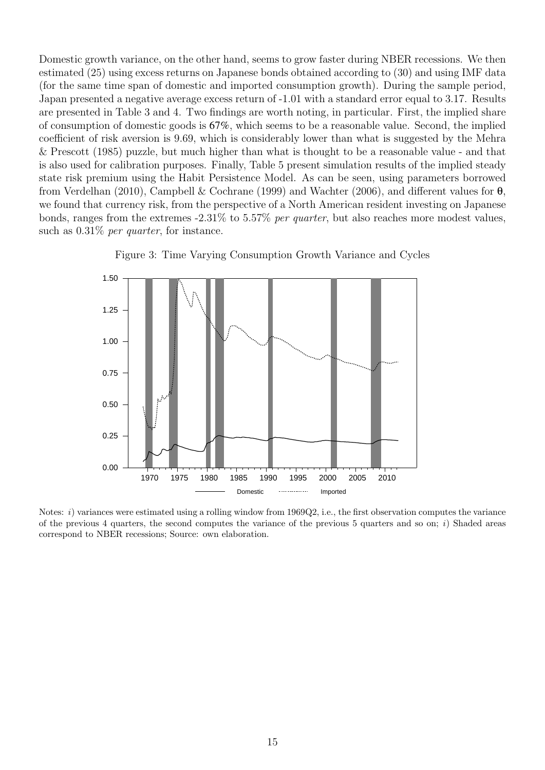Domestic growth variance, on the other hand, seems to grow faster during NBER recessions. We then estimated (25) using excess returns on Japanese bonds obtained according to (30) and using IMF data (for the same time span of domestic and imported consumption growth). During the sample period, Japan presented a negative average excess return of -1.01 with a standard error equal to 3.17. Results are presented in Table 3 and 4. Two findings are worth noting, in particular. First, the implied share of consumption of domestic goods is 67%, which seems to be a reasonable value. Second, the implied coefficient of risk aversion is 9.69, which is considerably lower than what is suggested by the Mehra & Prescott (1985) puzzle, but much higher than what is thought to be a reasonable value - and that is also used for calibration purposes. Finally, Table 5 present simulation results of the implied steady state risk premium using the Habit Persistence Model. As can be seen, using parameters borrowed from Verdelhan (2010), Campbell & Cochrane (1999) and Wachter (2006), and different values for  $\theta$ , we found that currency risk, from the perspective of a North American resident investing on Japanese bonds, ranges from the extremes -2.31% to 5.57% per quarter, but also reaches more modest values, such as  $0.31\%$  per quarter, for instance.





Notes: i) variances were estimated using a rolling window from 1969Q2, i.e., the first observation computes the variance of the previous 4 quarters, the second computes the variance of the previous 5 quarters and so on; i) Shaded areas correspond to NBER recessions; Source: own elaboration.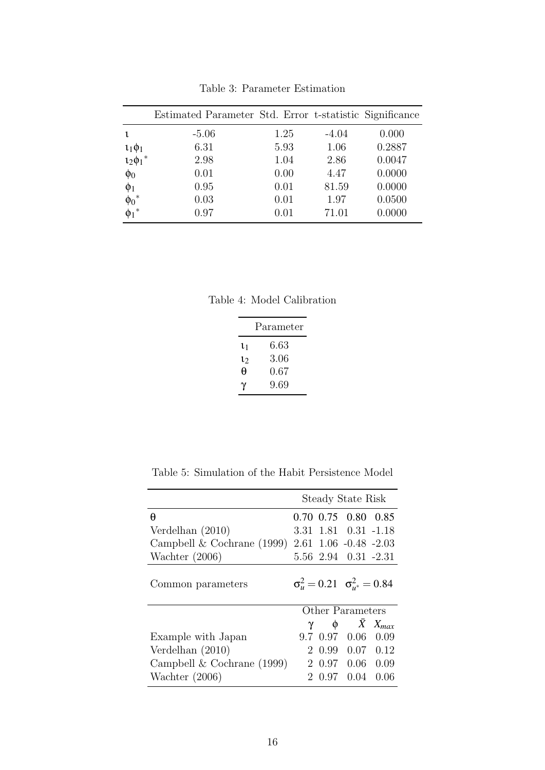|                         | Estimated Parameter Std. Error t-statistic Significance |      |         |        |
|-------------------------|---------------------------------------------------------|------|---------|--------|
|                         | $-5.06$                                                 | 1.25 | $-4.04$ | 0.000  |
| $\iota_1\phi_1$         | 6.31                                                    | 5.93 | 1.06    | 0.2887 |
| $12\phi_1$ <sup>*</sup> | 2.98                                                    | 1.04 | 2.86    | 0.0047 |
| $\phi_0$                | 0.01                                                    | 0.00 | 4.47    | 0.0000 |
| $\phi_1$                | 0.95                                                    | 0.01 | 81.59   | 0.0000 |
| $\phi_0{}^*$            | 0.03                                                    | 0.01 | 1.97    | 0.0500 |
|                         | 0.97                                                    | 0.01 | 71.01   | 0.0000 |

Table 3: Parameter Estimation

Table 4: Model Calibration

| Parameter |          |  |  |  |
|-----------|----------|--|--|--|
| $\iota_1$ | $6.63\,$ |  |  |  |
| $\iota_2$ | 3.06     |  |  |  |
| θ         | 0.67     |  |  |  |
| γ         | 9.69     |  |  |  |

Table 5: Simulation of the Habit Persistence Model

|                              | Steady State Risk                               |                     |                   |
|------------------------------|-------------------------------------------------|---------------------|-------------------|
| θ                            | 0.70 0.75 0.80 0.85                             |                     |                   |
| Verdelhan $(2010)$           | 3.31 1.81 0.31 -1.18                            |                     |                   |
| Campbell $& Cochrane (1999)$ | $2.61$ $1.06$ $-0.48$ $-2.03$                   |                     |                   |
| Wachter $(2006)$             | 5.56 2.94 0.31 -2.31                            |                     |                   |
| Common parameters            | $\sigma_u^2 = 0.21 \quad \sigma_{u^*}^2 = 0.84$ |                     |                   |
|                              | Other Parameters                                |                     |                   |
|                              | $\gamma$ $\phi$                                 | $\bar{X}$ $X_{max}$ |                   |
| Example with Japan           | 9.7 0.97 0.06                                   |                     | 0.09              |
| Verdelhan $(2010)$           | 0.99<br>$\mathcal{D}_{\mathcal{L}}$             |                     | $0.07 \quad 0.12$ |
| Campbell $& Cochrane (1999)$ |                                                 | 2 0.97 0.06 0.09    |                   |
| Wachter $(2006)$             | 0.97<br>2                                       | 0.04                | 0.06              |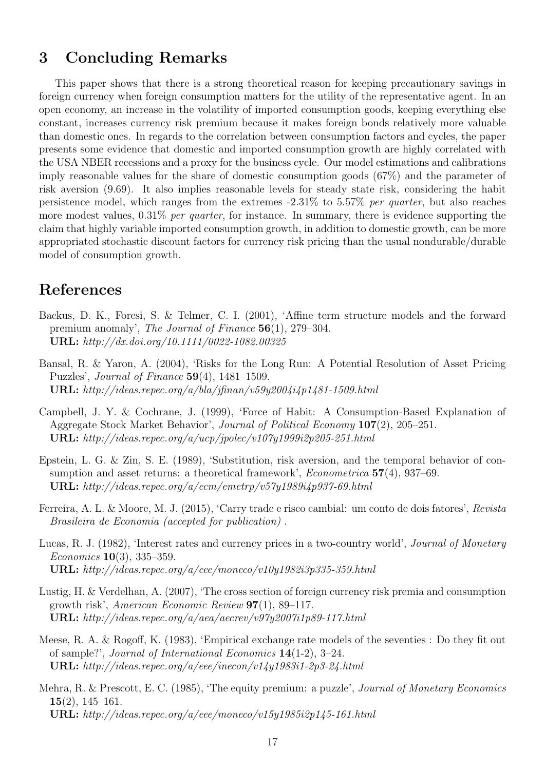## 3 Concluding Remarks

This paper shows that there is a strong theoretical reason for keeping precautionary savings in foreign currency when foreign consumption matters for the utility of the representative agent. In an open economy, an increase in the volatility of imported consumption goods, keeping everything else constant, increases currency risk premium because it makes foreign bonds relatively more valuable than domestic ones. In regards to the correlation between consumption factors and cycles, the paper presents some evidence that domestic and imported consumption growth are highly correlated with the USA NBER recessions and a proxy for the business cycle. Our model estimations and calibrations imply reasonable values for the share of domestic consumption goods (67%) and the parameter of risk aversion (9.69). It also implies reasonable levels for steady state risk, considering the habit persistence model, which ranges from the extremes -2.31% to 5.57% per quarter, but also reaches more modest values,  $0.31\%$  per quarter, for instance. In summary, there is evidence supporting the claim that highly variable imported consumption growth, in addition to domestic growth, can be more appropriated stochastic discount factors for currency risk pricing than the usual nondurable/durable model of consumption growth.

# References

- Backus, D. K., Foresi, S. & Telmer, C. I. (2001), 'Affine term structure models and the forward premium anomaly', The Journal of Finance 56(1), 279–304. URL: http://dx.doi.org/10.1111/0022-1082.00325
- Bansal, R. & Yaron, A. (2004), 'Risks for the Long Run: A Potential Resolution of Asset Pricing Puzzles', Journal of Finance 59(4), 1481–1509. URL: http://ideas.repec.org/a/bla/jfinan/v59y2004i4p1481-1509.html
- Campbell, J. Y. & Cochrane, J. (1999), 'Force of Habit: A Consumption-Based Explanation of Aggregate Stock Market Behavior', Journal of Political Economy 107(2), 205–251. URL: http://ideas.repec.org/a/ucp/jpolec/v107y1999i2p205-251.html
- Epstein, L. G. & Zin, S. E. (1989), 'Substitution, risk aversion, and the temporal behavior of consumption and asset returns: a theoretical framework', *Econometrica* 57(4), 937–69. URL: http://ideas.repec.org/a/ecm/emetrp/v57y1989i4p937-69.html
- Ferreira, A. L. & Moore, M. J. (2015), 'Carry trade e risco cambial: um conto de dois fatores', Revista Brasileira de Economia (accepted for publication) .
- Lucas, R. J. (1982), 'Interest rates and currency prices in a two-country world', Journal of Monetary *Economics* **10**(3), 335–359. URL: http://ideas.repec.org/a/eee/moneco/v10y1982i3p335-359.html
- Lustig, H. & Verdelhan, A. (2007), 'The cross section of foreign currency risk premia and consumption growth risk', American Economic Review 97(1), 89–117. URL: http://ideas.repec.org/a/aea/aecrev/v97y2007i1p89-117.html
- Meese, R. A. & Rogoff, K. (1983), 'Empirical exchange rate models of the seventies : Do they fit out of sample?', Journal of International Economics 14(1-2), 3–24. URL: http://ideas.repec.org/a/eee/inecon/v14y1983i1-2p3-24.html
- Mehra, R. & Prescott, E. C. (1985), 'The equity premium: a puzzle', Journal of Monetary Economics  $15(2)$ , 145–161. URL: http://ideas.repec.org/a/eee/moneco/v15y1985i2p145-161.html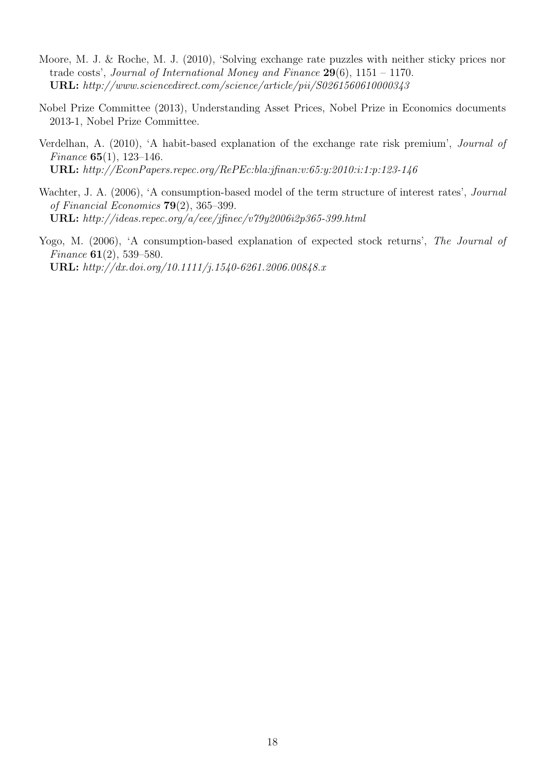- Moore, M. J. & Roche, M. J. (2010), 'Solving exchange rate puzzles with neither sticky prices nor trade costs', Journal of International Money and Finance 29(6), 1151 - 1170. URL: http://www.sciencedirect.com/science/article/pii/S0261560610000343
- Nobel Prize Committee (2013), Understanding Asset Prices, Nobel Prize in Economics documents 2013-1, Nobel Prize Committee.
- Verdelhan, A. (2010), 'A habit-based explanation of the exchange rate risk premium', Journal of Finance 65(1), 123–146. URL: http://EconPapers.repec.org/RePEc:bla:jfinan:v:65:y:2010:i:1:p:123-146
- Wachter, J. A. (2006), 'A consumption-based model of the term structure of interest rates', *Journal* of Financial Economics 79(2), 365–399. URL: http://ideas.repec.org/a/eee/jfinec/v79y2006i2p365-399.html

Yogo, M. (2006), 'A consumption-based explanation of expected stock returns', The Journal of Finance 61(2), 539–580. URL: http://dx.doi.org/10.1111/j.1540-6261.2006.00848.x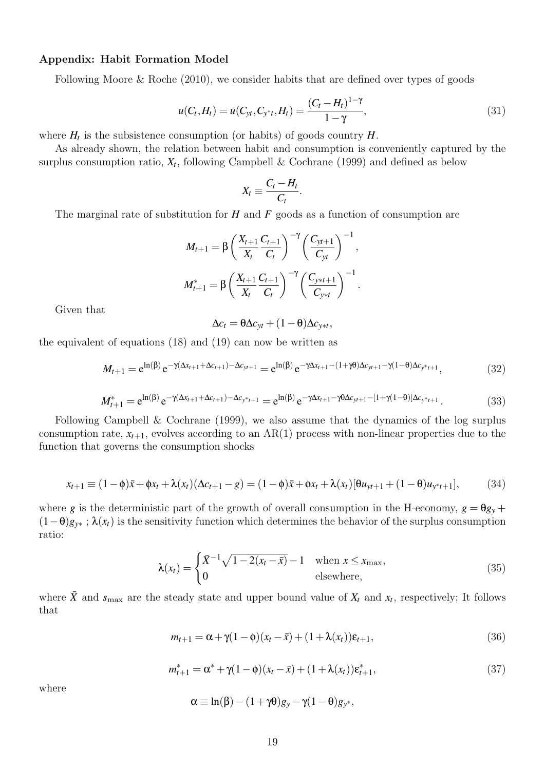#### Appendix: Habit Formation Model

Following Moore & Roche (2010), we consider habits that are defined over types of goods

$$
u(C_t, H_t) = u(C_{yt}, C_{y^*t}, H_t) = \frac{(C_t - H_t)^{1-\gamma}}{1-\gamma},
$$
\n(31)

where  $H_t$  is the subsistence consumption (or habits) of goods country  $H$ .

As already shown, the relation between habit and consumption is conveniently captured by the surplus consumption ratio,  $X_t$ , following Campbell & Cochrane (1999) and defined as below

$$
X_t \equiv \frac{C_t - H_t}{C_t}.
$$

The marginal rate of substitution for *H* and *F* goods as a function of consumption are

$$
M_{t+1} = \beta \left( \frac{X_{t+1}}{X_t} \frac{C_{t+1}}{C_t} \right)^{-\gamma} \left( \frac{C_{yt+1}}{C_{yt}} \right)^{-1},
$$
  

$$
M_{t+1}^* = \beta \left( \frac{X_{t+1}}{X_t} \frac{C_{t+1}}{C_t} \right)^{-\gamma} \left( \frac{C_{y*t+1}}{C_{y*t}} \right)^{-1}.
$$

Given that

$$
\Delta c_t = \theta \Delta c_{yt} + (1 - \theta) \Delta c_{y*t},
$$

the equivalent of equations (18) and (19) can now be written as

$$
M_{t+1} = e^{\ln(\beta)} e^{-\gamma(\Delta x_{t+1} + \Delta c_{t+1}) - \Delta c_{yt+1}} = e^{\ln(\beta)} e^{-\gamma \Delta x_{t+1} - (1 + \gamma \theta) \Delta c_{yt+1} - \gamma(1 - \theta) \Delta c_{yt+1}},
$$
(32)

$$
M_{t+1}^* = e^{\ln(\beta)} e^{-\gamma(\Delta x_{t+1} + \Delta c_{t+1}) - \Delta c_{y^*t+1}} = e^{\ln(\beta)} e^{-\gamma \Delta x_{t+1} - \gamma \theta \Delta c_{yt+1} - [1 + \gamma(1 - \theta)] \Delta c_{y^*t+1}}.
$$
(33)

Following Campbell & Cochrane (1999), we also assume that the dynamics of the log surplus consumption rate,  $x_{t+1}$ , evolves according to an  $AR(1)$  process with non-linear properties due to the function that governs the consumption shocks

$$
x_{t+1} \equiv (1 - \phi)\bar{x} + \phi x_t + \lambda(x_t)(\Delta c_{t+1} - g) = (1 - \phi)\bar{x} + \phi x_t + \lambda(x_t)[\theta u_{yt+1} + (1 - \theta)u_{yt+1}],
$$
 (34)

where *g* is the deterministic part of the growth of overall consumption in the H-economy,  $g = \theta g_y +$  $(1-\theta)g_{y*}$ ;  $\lambda(x_t)$  is the sensitivity function which determines the behavior of the surplus consumption ratio:

$$
\lambda(x_t) = \begin{cases} \bar{X}^{-1}\sqrt{1 - 2(x_t - \bar{x})} - 1 & \text{when } x \le x_{\text{max}}, \\ 0 & \text{elsewhere,} \end{cases}
$$
(35)

where  $\bar{X}$  and  $s_{\text{max}}$  are the steady state and upper bound value of  $X_t$  and  $x_t$ , respectively; It follows that

$$
m_{t+1} = \alpha + \gamma (1 - \phi)(x_t - \bar{x}) + (1 + \lambda(x_t))\varepsilon_{t+1},
$$
\n(36)

$$
m_{t+1}^* = \alpha^* + \gamma (1 - \phi)(x_t - \bar{x}) + (1 + \lambda(x_t)) \varepsilon_{t+1}^*,
$$
\n(37)

where

$$
\alpha \equiv \ln(\beta) - (1 + \gamma \theta) g_y - \gamma (1 - \theta) g_{y^*},
$$